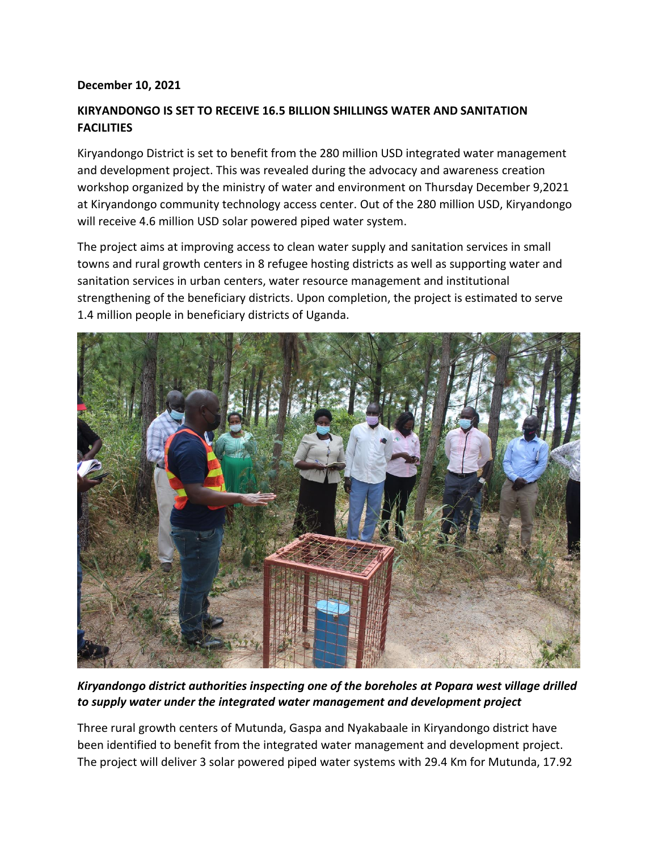## **December 10, 2021**

## **KIRYANDONGO IS SET TO RECEIVE 16.5 BILLION SHILLINGS WATER AND SANITATION FACILITIES**

Kiryandongo District is set to benefit from the 280 million USD integrated water management and development project. This was revealed during the advocacy and awareness creation workshop organized by the ministry of water and environment on Thursday December 9,2021 at Kiryandongo community technology access center. Out of the 280 million USD, Kiryandongo will receive 4.6 million USD solar powered piped water system.

The project aims at improving access to clean water supply and sanitation services in small towns and rural growth centers in 8 refugee hosting districts as well as supporting water and sanitation services in urban centers, water resource management and institutional strengthening of the beneficiary districts. Upon completion, the project is estimated to serve 1.4 million people in beneficiary districts of Uganda.



*Kiryandongo district authorities inspecting one of the boreholes at Popara west village drilled to supply water under the integrated water management and development project*

Three rural growth centers of Mutunda, Gaspa and Nyakabaale in Kiryandongo district have been identified to benefit from the integrated water management and development project. The project will deliver 3 solar powered piped water systems with 29.4 Km for Mutunda, 17.92